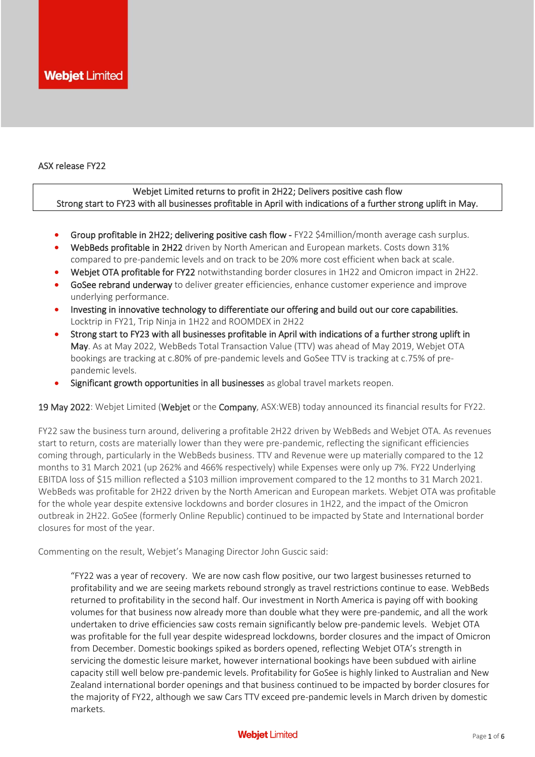#### ASX release FY22

# Webjet Limited returns to profit in 2H22; Delivers positive cash flow Strong start to FY23 with all businesses profitable in April with indications of a further strong uplift in May.

- Group profitable in 2H22; delivering positive cash flow FY22 \$4million/month average cash surplus.
- WebBeds profitable in 2H22 driven by North American and European markets. Costs down 31% compared to pre-pandemic levels and on track to be 20% more cost efficient when back at scale.
- Webjet OTA profitable for FY22 notwithstanding border closures in 1H22 and Omicron impact in 2H22.
- GoSee rebrand underway to deliver greater efficiencies, enhance customer experience and improve underlying performance.
- Investing in innovative technology to differentiate our offering and build out our core capabilities. Locktrip in FY21, Trip Ninja in 1H22 and ROOMDEX in 2H22
- Strong start to FY23 with all businesses profitable in April with indications of a further strong uplift in May. As at May 2022, WebBeds Total Transaction Value (TTV) was ahead of May 2019, Webjet OTA bookings are tracking at c.80% of pre-pandemic levels and GoSee TTV is tracking at c.75% of prepandemic levels.
- Significant growth opportunities in all businesses as global travel markets reopen.

19 May 2022: Webjet Limited (Webjet or the Company, ASX:WEB) today announced its financial results for FY22.

FY22 saw the business turn around, delivering a profitable 2H22 driven by WebBeds and Webjet OTA. As revenues start to return, costs are materially lower than they were pre-pandemic, reflecting the significant efficiencies coming through, particularly in the WebBeds business. TTV and Revenue were up materially compared to the 12 months to 31 March 2021 (up 262% and 466% respectively) while Expenses were only up 7%. FY22 Underlying EBITDA loss of \$15 million reflected a \$103 million improvement compared to the 12 months to 31 March 2021. WebBeds was profitable for 2H22 driven by the North American and European markets. Webjet OTA was profitable for the whole year despite extensive lockdowns and border closures in 1H22, and the impact of the Omicron outbreak in 2H22. GoSee (formerly Online Republic) continued to be impacted by State and International border closures for most of the year.

Commenting on the result, Webjet's Managing Director John Guscic said:

"FY22 was a year of recovery. We are now cash flow positive, our two largest businesses returned to profitability and we are seeing markets rebound strongly as travel restrictions continue to ease. WebBeds returned to profitability in the second half. Our investment in North America is paying off with booking volumes for that business now already more than double what they were pre-pandemic, and all the work undertaken to drive efficiencies saw costs remain significantly below pre-pandemic levels. Webjet OTA was profitable for the full year despite widespread lockdowns, border closures and the impact of Omicron from December. Domestic bookings spiked as borders opened, reflecting Webjet OTA's strength in servicing the domestic leisure market, however international bookings have been subdued with airline capacity still well below pre-pandemic levels. Profitability for GoSee is highly linked to Australian and New Zealand international border openings and that business continued to be impacted by border closures for the majority of FY22, although we saw Cars TTV exceed pre-pandemic levels in March driven by domestic markets.

#### **Webjet Limited**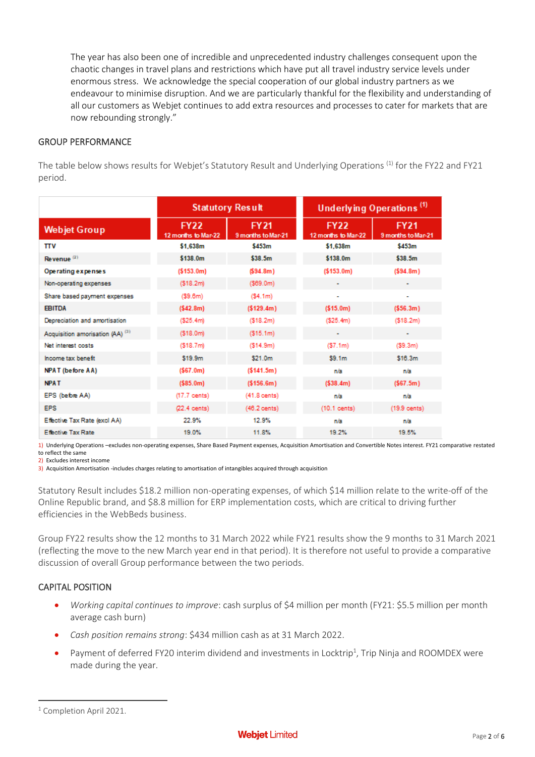The year has also been one of incredible and unprecedented industry challenges consequent upon the chaotic changes in travel plans and restrictions which have put all travel industry service levels under enormous stress. We acknowledge the special cooperation of our global industry partners as we endeavour to minimise disruption. And we are particularly thankful for the flexibility and understanding of all our customers as Webjet continues to add extra resources and processes to cater for markets that are now rebounding strongly."

## GROUP PERFORMANCE

The table below shows results for Webjet's Statutory Result and Underlying Operations <sup>(1)</sup> for the FY22 and FY21 period.

|                                             |                                    | <b>Statutory Result</b>           | Underlying Operations <sup>(1)</sup> |                                   |  |  |
|---------------------------------------------|------------------------------------|-----------------------------------|--------------------------------------|-----------------------------------|--|--|
| <b>Webjet Group</b>                         | <b>FY22</b><br>12 months to Mar-22 | <b>FY21</b><br>9 months to Mar-21 | <b>FY22</b><br>12 months to Mar-22   | <b>FY21</b><br>9 months to Mar-21 |  |  |
| πv                                          | \$1.638m                           | \$453m                            | \$1.638m                             | \$453m                            |  |  |
| Revenue $(2)$                               | \$138.0m                           | \$38.5m                           | \$138.0m                             | \$38.5m                           |  |  |
| Operating expenses                          | ( \$153.0m)                        | (594.8m)                          | (5153.0m)                            | (594.8m)                          |  |  |
| Non-operating expenses                      | ( \$18.2m)                         | (569.0m)                          |                                      |                                   |  |  |
| Share based payment expenses                | (59.6m)                            | (54.1m)                           | ٠                                    | ۰                                 |  |  |
| <b>EBITDA</b>                               | (542.8m)                           | (5129.4m)                         | (515.0m)                             | (556.3m)                          |  |  |
| Depreciation and amortisation               | ( \$25.4m)                         | (\$18.2m)                         | (525.4m)                             | ( \$18.2m)                        |  |  |
| Acquisition amorisation (AA) <sup>(3)</sup> | (\$18.0m)                          | (\$15.1m)                         | ۰                                    | ۰                                 |  |  |
| Net interest costs                          | ( \$18.7 <sub>m</sub>              | ( \$14.9m)                        | (57.1m)                              | (59.3m)                           |  |  |
| Income tax benefit                          | \$19.9m                            | \$21.0m                           | \$9.1m                               | \$16.3m                           |  |  |
| <b>NPAT</b> (before AA)                     | (567.0m)                           | (5141.5m)                         | n/a                                  | n/a                               |  |  |
| <b>NPAT</b>                                 | (585.0m)                           | (5156.6m)                         | (538.4m)                             | (567.5m)                          |  |  |
| EPS (before AA)                             | $(17.7$ cents)                     | $(41.8 \text{ cents})$            | n/a                                  | n/a                               |  |  |
| <b>EPS</b>                                  | $(22.4 \text{ cents})$             | $(46.2 \text{ cents})$            | (10.1 cents)                         | $(19.9 \text{ cents})$            |  |  |
| Effective Tax Rate (excl AA)                | 22.9%                              | 12.9%                             | n/a                                  | n/a                               |  |  |
| <b>Effective Tax Rate</b>                   | 19.0%                              | 11.8%                             | 19.2%                                | 19.5%                             |  |  |

1) Underlying Operations –excludes non-operating expenses, Share Based Payment expenses, Acquisition Amortisation and Convertible Notes interest. FY21 comparative restated to reflect the same

2) Excludes interest income

3) Acquisition Amortisation -includes charges relating to amortisation of intangibles acquired through acquisition

Statutory Result includes \$18.2 million non-operating expenses, of which \$14 million relate to the write-off of the Online Republic brand, and \$8.8 million for ERP implementation costs, which are critical to driving further efficiencies in the WebBeds business.

Group FY22 results show the 12 months to 31 March 2022 while FY21 results show the 9 months to 31 March 2021 (reflecting the move to the new March year end in that period). It is therefore not useful to provide a comparative discussion of overall Group performance between the two periods.

# CAPITAL POSITION

- *Working capital continues to improve*: cash surplus of \$4 million per month (FY21: \$5.5 million per month average cash burn)
- *Cash position remains strong*: \$434 million cash as at 31 March 2022.
- Payment of deferred FY20 interim dividend and investments in Locktrip<sup>1</sup>, Trip Ninja and ROOMDEX were made during the year.

<sup>&</sup>lt;sup>1</sup> Completion April 2021.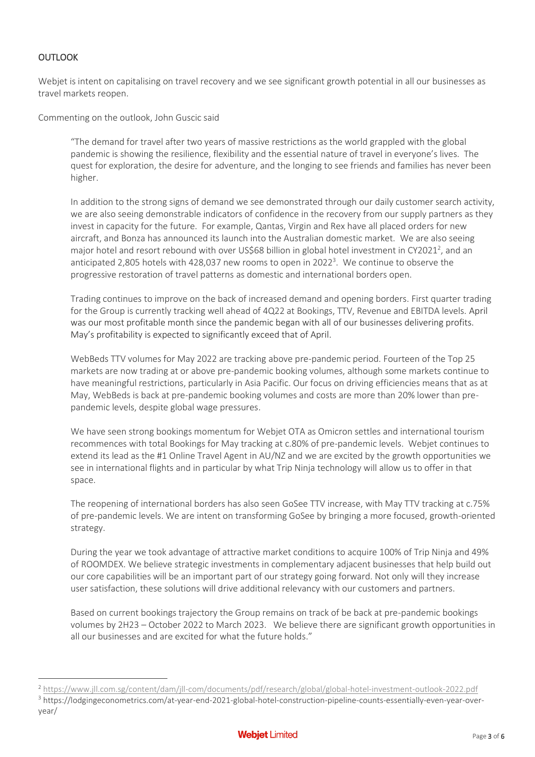# OUTLOOK

Webjet is intent on capitalising on travel recovery and we see significant growth potential in all our businesses as travel markets reopen.

Commenting on the outlook, John Guscic said

"The demand for travel after two years of massive restrictions as the world grappled with the global pandemic is showing the resilience, flexibility and the essential nature of travel in everyone's lives. The quest for exploration, the desire for adventure, and the longing to see friends and families has never been higher.

In addition to the strong signs of demand we see demonstrated through our daily customer search activity, we are also seeing demonstrable indicators of confidence in the recovery from our supply partners as they invest in capacity for the future. For example, Qantas, Virgin and Rex have all placed orders for new aircraft, and Bonza has announced its launch into the Australian domestic market. We are also seeing major hotel and resort rebound with over US\$68 billion in global hotel investment in CY2021<sup>2</sup>, and an anticipated 2,805 hotels with 428,037 new rooms to open in 2022<sup>3</sup>. We continue to observe the progressive restoration of travel patterns as domestic and international borders open.

Trading continues to improve on the back of increased demand and opening borders. First quarter trading for the Group is currently tracking well ahead of 4Q22 at Bookings, TTV, Revenue and EBITDA levels. April was our most profitable month since the pandemic began with all of our businesses delivering profits. May's profitability is expected to significantly exceed that of April.

WebBeds TTV volumes for May 2022 are tracking above pre-pandemic period. Fourteen of the Top 25 markets are now trading at or above pre-pandemic booking volumes, although some markets continue to have meaningful restrictions, particularly in Asia Pacific. Our focus on driving efficiencies means that as at May, WebBeds is back at pre-pandemic booking volumes and costs are more than 20% lower than prepandemic levels, despite global wage pressures.

We have seen strong bookings momentum for Webjet OTA as Omicron settles and international tourism recommences with total Bookings for May tracking at c.80% of pre-pandemic levels. Webjet continues to extend its lead as the #1 Online Travel Agent in AU/NZ and we are excited by the growth opportunities we see in international flights and in particular by what Trip Ninja technology will allow us to offer in that space.

The reopening of international borders has also seen GoSee TTV increase, with May TTV tracking at c.75% of pre-pandemic levels. We are intent on transforming GoSee by bringing a more focused, growth-oriented strategy.

During the year we took advantage of attractive market conditions to acquire 100% of Trip Ninja and 49% of ROOMDEX. We believe strategic investments in complementary adjacent businesses that help build out our core capabilities will be an important part of our strategy going forward. Not only will they increase user satisfaction, these solutions will drive additional relevancy with our customers and partners.

Based on current bookings trajectory the Group remains on track of be back at pre-pandemic bookings volumes by 2H23 – October 2022 to March 2023. We believe there are significant growth opportunities in all our businesses and are excited for what the future holds."

<sup>2</sup> <https://www.jll.com.sg/content/dam/jll-com/documents/pdf/research/global/global-hotel-investment-outlook-2022.pdf>

<sup>3</sup> https://lodgingeconometrics.com/at-year-end-2021-global-hotel-construction-pipeline-counts-essentially-even-year-overyear/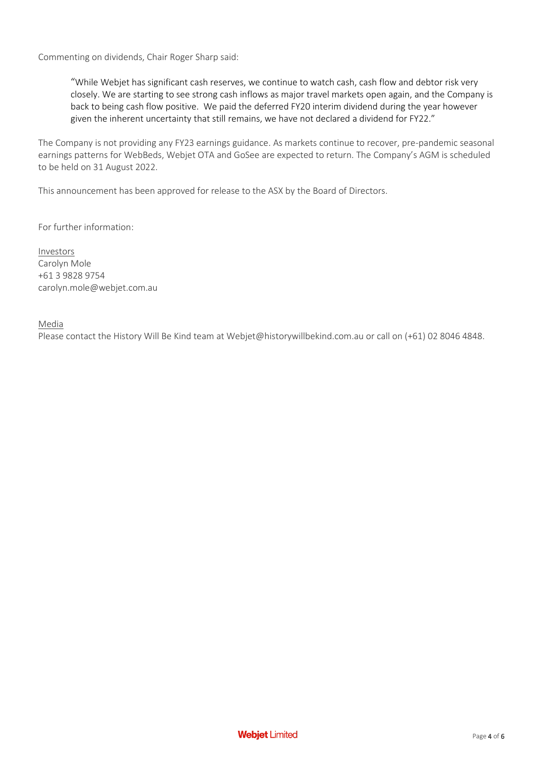Commenting on dividends, Chair Roger Sharp said:

"While Webjet has significant cash reserves, we continue to watch cash, cash flow and debtor risk very closely. We are starting to see strong cash inflows as major travel markets open again, and the Company is back to being cash flow positive. We paid the deferred FY20 interim dividend during the year however given the inherent uncertainty that still remains, we have not declared a dividend for FY22."

The Company is not providing any FY23 earnings guidance. As markets continue to recover, pre-pandemic seasonal earnings patterns for WebBeds, Webjet OTA and GoSee are expected to return. The Company's AGM is scheduled to be held on 31 August 2022.

This announcement has been approved for release to the ASX by the Board of Directors.

For further information:

Investors Carolyn Mole +61 3 9828 9754 carolyn.mole@webjet.com.au

## Media

Please contact the History Will Be Kind team at Webjet@historywillbekind.com.au or call on (+61) 02 8046 4848.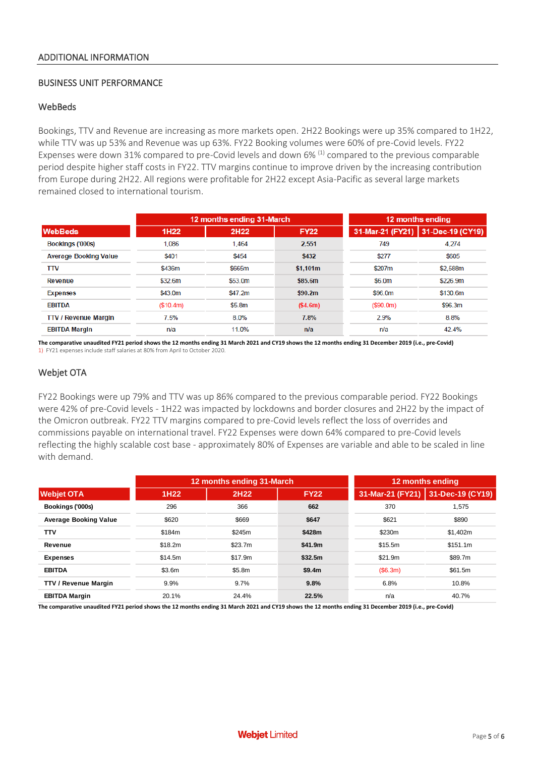#### BUSINESS UNIT PERFORMANCE

#### **WebBeds**

Bookings, TTV and Revenue are increasing as more markets open. 2H22 Bookings were up 35% compared to 1H22, while TTV was up 53% and Revenue was up 63%. FY22 Booking volumes were 60% of pre-Covid levels. FY22 Expenses were down 31% compared to pre-Covid levels and down 6%<sup>(1)</sup> compared to the previous comparable period despite higher staff costs in FY22. TTV margins continue to improve driven by the increasing contribution from Europe during 2H22. All regions were profitable for 2H22 except Asia-Pacific as several large markets remained closed to international tourism.

|                              |                  | 12 months ending 31-March | 12 months ending |                  |                  |  |
|------------------------------|------------------|---------------------------|------------------|------------------|------------------|--|
| <b>WebBeds</b>               | 1H <sub>22</sub> | 2H22                      | <b>FY22</b>      | 31-Mar-21 (FY21) | 31-Dec-19 (CY19) |  |
| Bookings ('000s)             | 1,086            | 1,464                     | 2,551            | 749              | 4.274            |  |
| <b>Average Booking Value</b> | \$401            | \$454                     | \$432            | \$277            | \$605            |  |
| <b>TTV</b>                   | \$436m           | \$665m                    | \$1.101m         | \$207m           | \$2,588m         |  |
| Revenue                      | \$32.6m          | \$53.0m                   | \$85.6m          | \$6.0m           | \$226.9m         |  |
| <b>Expenses</b>              | \$43.0m          | \$47.2m                   | \$90.2m          | \$96.0m          | \$130.6m         |  |
| <b>EBITDA</b>                | (\$10.4m)        | \$5.8m                    | (\$4.6m)         | (S90.0m)         | \$96.3m          |  |
| <b>TTV / Revenue Margin</b>  | 7.5%             | 8.0%                      | 7.8%             | 2.9%             | 8.8%             |  |
| <b>EBITDA Margin</b>         | n/a              | 11.0%                     | n/a              | n/a              | 42.4%            |  |

**The comparative unaudited FY21 period shows the 12 months ending 31 March 2021 and CY19 shows the 12 months ending 31 December 2019 (i.e., pre-Covid)** 1) FY21 expenses include staff salaries at 80% from April to October 2020.

## Webjet OTA

FY22 Bookings were up 79% and TTV was up 86% compared to the previous comparable period. FY22 Bookings were 42% of pre-Covid levels - 1H22 was impacted by lockdowns and border closures and 2H22 by the impact of the Omicron outbreak. FY22 TTV margins compared to pre-Covid levels reflect the loss of overrides and commissions payable on international travel. FY22 Expenses were down 64% compared to pre-Covid levels reflecting the highly scalable cost base - approximately 80% of Expenses are variable and able to be scaled in line with demand.

|                              |                  | 12 months ending 31-March | 12 months ending  |                  |                  |  |
|------------------------------|------------------|---------------------------|-------------------|------------------|------------------|--|
| <b>Webjet OTA</b>            | 1H <sub>22</sub> | 2H22                      | <b>FY22</b>       | 31-Mar-21 (FY21) | 31-Dec-19 (CY19) |  |
| Bookings ('000s)             | 296              | 366                       | 662               | 370              | 1,575            |  |
| <b>Average Booking Value</b> | \$620            | \$669                     | \$647             | \$621            | \$890            |  |
| <b>TTV</b>                   | \$184m           | \$245m                    | \$428m            | \$230m           | \$1,402m         |  |
| Revenue                      | \$18.2m          | \$23.7m                   | \$41.9m           | \$15.5m          |                  |  |
| <b>Expenses</b>              | \$14.5m          | \$17.9m                   | \$32.5m           | \$21.9m          | \$89.7m          |  |
| <b>EBITDA</b>                | \$3.6m           | \$5.8m                    | \$9.4m<br>(S6.3m) |                  | \$61.5m          |  |
| <b>TTV / Revenue Margin</b>  | 9.9%             | 9.7%                      | 6.8%<br>9.8%      |                  | 10.8%            |  |
| <b>EBITDA Margin</b>         | 20.1%            | 24.4%                     | 22.5%             | n/a<br>40.7%     |                  |  |

**The comparative unaudited FY21 period shows the 12 months ending 31 March 2021 and CY19 shows the 12 months ending 31 December 2019 (i.e., pre-Covid)**